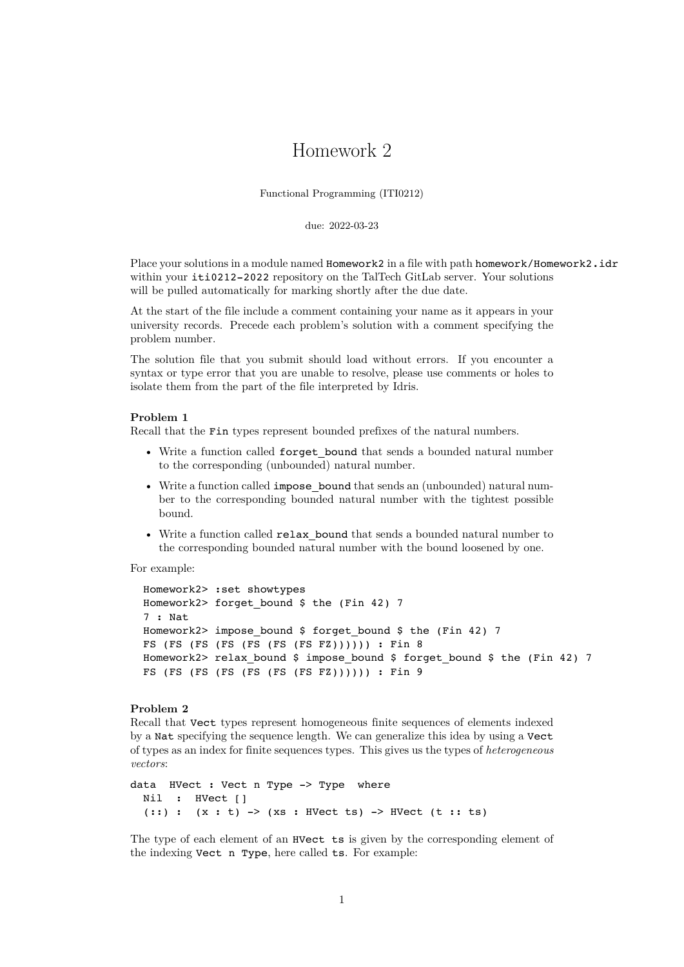# Homework 2

Functional Programming (ITI0212)

due: 2022-03-23

Place your solutions in a module named Homework2 in a file with path homework/Homework2.idr within your iti0212-2022 repository on the TalTech GitLab server. Your solutions will be pulled automatically for marking shortly after the due date.

At the start of the file include a comment containing your name as it appears in your university records. Precede each problem's solution with a comment specifying the problem number.

The solution file that you submit should load without errors. If you encounter a syntax or type error that you are unable to resolve, please use comments or holes to isolate them from the part of the file interpreted by Idris.

#### **Problem 1**

Recall that the Fin types represent bounded prefixes of the natural numbers.

- Write a function called for get bound that sends a bounded natural number to the corresponding (unbounded) natural number.
- Write a function called impose bound that sends an (unbounded) natural number to the corresponding bounded natural number with the tightest possible bound.
- Write a function called relax\_bound that sends a bounded natural number to the corresponding bounded natural number with the bound loosened by one.

For example:

```
Homework2> :set showtypes
Homework2> forget bound $ the (Fin 42) 7
7 : Nat
Homework2> impose bound $ forget bound $ the (Fin 42) 7
FS (FS (FS (FS (FS (FS (FS FZ)))))) : Fin 8
Homework2> relax bound $ impose bound $ forget bound $ the (Fin 42) 7
FS (FS (FS (FS (FS (FS (FS FZ)))))) : Fin 9
```
## **Problem 2**

Recall that Vect types represent homogeneous finite sequences of elements indexed by a Nat specifying the sequence length. We can generalize this idea by using a Vect of types as an index for finite sequences types. This gives us the types of *heterogeneous vectors*:

```
data HVect : Vect n Type -> Type where
 Nil : HVect []
  (::) : (x : t) -> (xs : HVect ts) -> HVect (t : t s)
```
The type of each element of an HVect ts is given by the corresponding element of the indexing Vect n Type, here called ts. For example: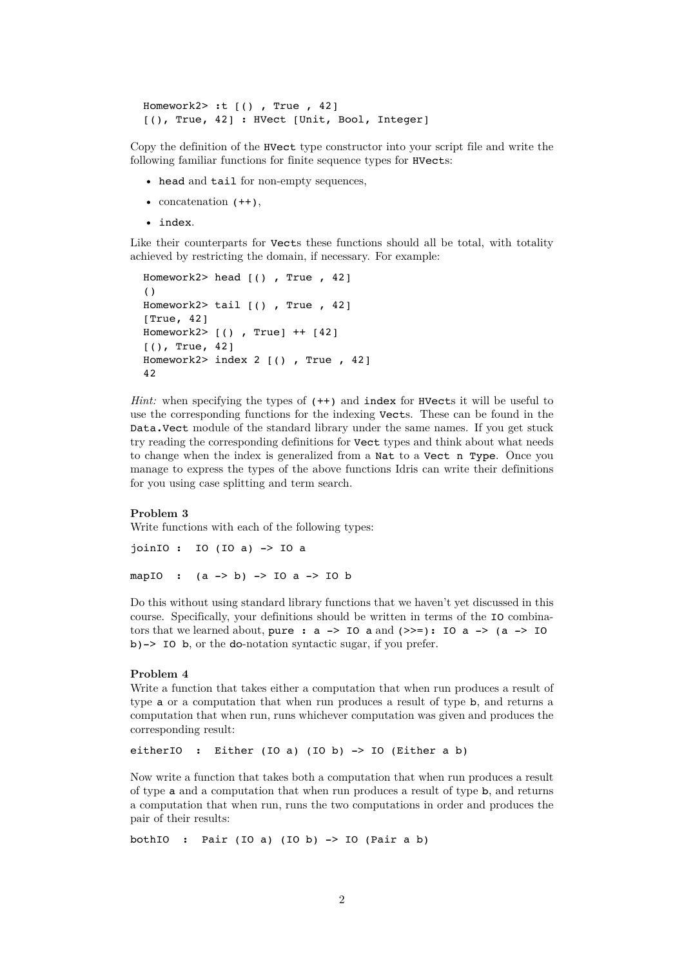```
Homework2> :t [() , True , 42]
[(), True, 42] : HVect [Unit, Bool, Integer]
```
Copy the definition of the HVect type constructor into your script file and write the following familiar functions for finite sequence types for HVects:

- head and tail for non-empty sequences,
- concatenation  $(++)$ ,
- index.

Like their counterparts for Vects these functions should all be total, with totality achieved by restricting the domain, if necessary. For example:

```
Homework2> head [() , True , 42]
()
Homework2> tail [() , True , 42]
[True, 42]
Homework2> [() , True] ++ [42]
[(), True, 42]
Homework2> index 2 [(), True, 42]
42
```
*Hint:* when specifying the types of  $(++)$  and index for HVects it will be useful to use the corresponding functions for the indexing Vects. These can be found in the Data.Vect module of the standard library under the same names. If you get stuck try reading the corresponding definitions for Vect types and think about what needs to change when the index is generalized from a Nat to a Vect n Type. Once you manage to express the types of the above functions Idris can write their definitions for you using case splitting and term search.

#### **Problem 3**

Write functions with each of the following types:

```
joinIO : IO (IO a) -> IO a
mapIO : (a \rightarrow b) \rightarrow I0 a \rightarrow I0 b
```
Do this without using standard library functions that we haven't yet discussed in this course. Specifically, your definitions should be written in terms of the IO combinators that we learned about, pure :  $a \rightarrow 10$  a and  $(\gg=)$ :  $10$  a  $\rightarrow$   $(a \rightarrow 10$ b)-> IO b, or the do-notation syntactic sugar, if you prefer.

## **Problem 4**

Write a function that takes either a computation that when run produces a result of type a or a computation that when run produces a result of type b, and returns a computation that when run, runs whichever computation was given and produces the corresponding result:

eitherIO : Either (IO a) (IO b)  $\rightarrow$  IO (Either a b)

Now write a function that takes both a computation that when run produces a result of type a and a computation that when run produces a result of type b, and returns a computation that when run, runs the two computations in order and produces the pair of their results:

bothIO : Pair (IO a) (IO b)  $-$  > IO (Pair a b)